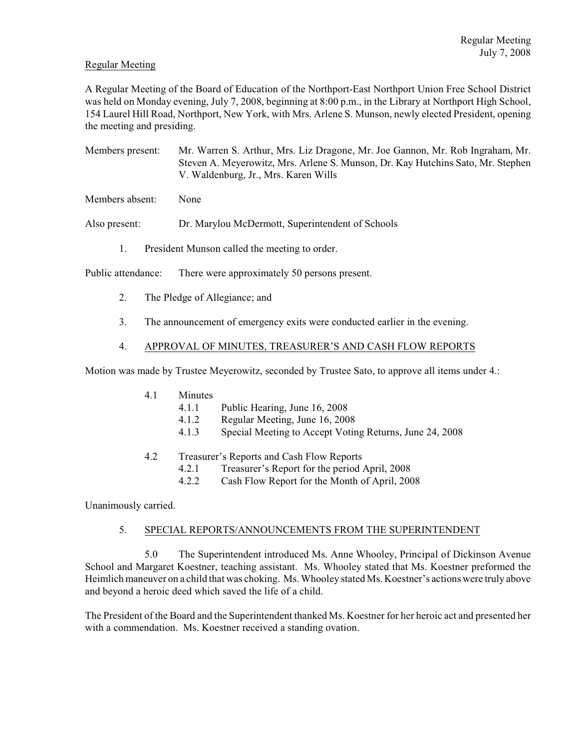## Regular Meeting

A Regular Meeting of the Board of Education of the Northport-East Northport Union Free School District was held on Monday evening, July 7, 2008, beginning at 8:00 p.m., in the Library at Northport High School, 154 Laurel Hill Road, Northport, New York, with Mrs. Arlene S. Munson, newly elected President, opening the meeting and presiding.

Members present: Mr. Warren S. Arthur, Mrs. Liz Dragone, Mr. Joe Gannon, Mr. Rob Ingraham, Mr. Steven A. Meyerowitz, Mrs. Arlene S. Munson, Dr. Kay Hutchins Sato, Mr. Stephen V. Waldenburg, Jr., Mrs. Karen Wills

Members absent: None

Also present: Dr. Marylou McDermott, Superintendent of Schools

1. President Munson called the meeting to order.

Public attendance: There were approximately 50 persons present.

- 2. The Pledge of Allegiance; and
- 3. The announcement of emergency exits were conducted earlier in the evening.

## 4. APPROVAL OF MINUTES, TREASURER'S AND CASH FLOW REPORTS

Motion was made by Trustee Meyerowitz, seconded by Trustee Sato, to approve all items under 4.:

- 4.1 Minutes
	- 4.1.1 Public Hearing, June 16, 2008
		- 4.1.2 Regular Meeting, June 16, 2008
	- 4.1.3 Special Meeting to Accept Voting Returns, June 24, 2008
- 4.2 Treasurer's Reports and Cash Flow Reports
	- 4.2.1 Treasurer's Report for the period April, 2008
	- 4.2.2 Cash Flow Report for the Month of April, 2008

Unanimously carried.

## 5. SPECIAL REPORTS/ANNOUNCEMENTS FROM THE SUPERINTENDENT

5.0 The Superintendent introduced Ms. Anne Whooley, Principal of Dickinson Avenue School and Margaret Koestner, teaching assistant. Ms. Whooley stated that Ms. Koestner preformed the Heimlich maneuver on a child that was choking. Ms. Whooley stated Ms. Koestner's actions were truly above and beyond a heroic deed which saved the life of a child.

The President of the Board and the Superintendent thanked Ms. Koestner for her heroic act and presented her with a commendation. Ms. Koestner received a standing ovation.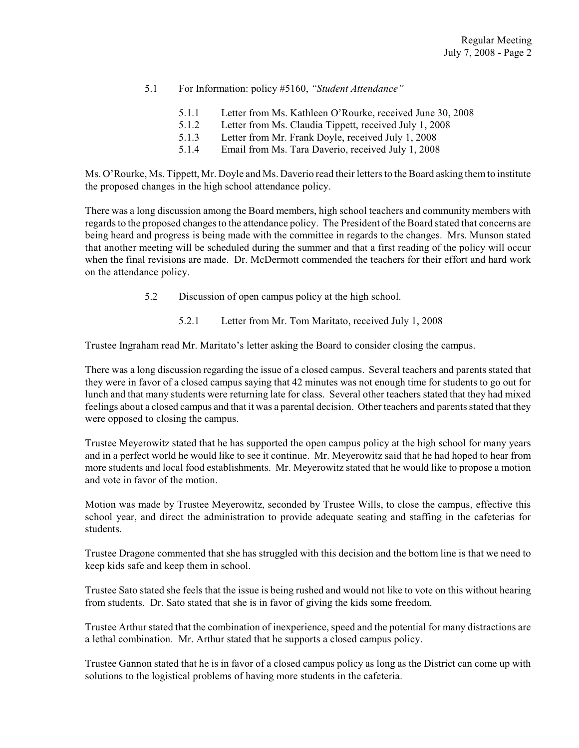- 5.1 For Information: policy #5160, *"Student Attendance"*
	- 5.1.1 Letter from Ms. Kathleen O'Rourke, received June 30, 2008
	- 5.1.2 Letter from Ms. Claudia Tippett, received July 1, 2008
	- 5.1.3 Letter from Mr. Frank Doyle, received July 1, 2008
	- 5.1.4 Email from Ms. Tara Daverio, received July 1, 2008

Ms. O'Rourke, Ms. Tippett, Mr. Doyle and Ms. Daverio read their letters to the Board asking them to institute the proposed changes in the high school attendance policy.

There was a long discussion among the Board members, high school teachers and community members with regards to the proposed changes to the attendance policy. The President of the Board stated that concerns are being heard and progress is being made with the committee in regards to the changes. Mrs. Munson stated that another meeting will be scheduled during the summer and that a first reading of the policy will occur when the final revisions are made. Dr. McDermott commended the teachers for their effort and hard work on the attendance policy.

- 5.2 Discussion of open campus policy at the high school.
	- 5.2.1 Letter from Mr. Tom Maritato, received July 1, 2008

Trustee Ingraham read Mr. Maritato's letter asking the Board to consider closing the campus.

There was a long discussion regarding the issue of a closed campus. Several teachers and parents stated that they were in favor of a closed campus saying that 42 minutes was not enough time for students to go out for lunch and that many students were returning late for class. Several other teachers stated that they had mixed feelings about a closed campus and that it was a parental decision. Other teachers and parents stated that they were opposed to closing the campus.

Trustee Meyerowitz stated that he has supported the open campus policy at the high school for many years and in a perfect world he would like to see it continue. Mr. Meyerowitz said that he had hoped to hear from more students and local food establishments. Mr. Meyerowitz stated that he would like to propose a motion and vote in favor of the motion.

Motion was made by Trustee Meyerowitz, seconded by Trustee Wills, to close the campus, effective this school year, and direct the administration to provide adequate seating and staffing in the cafeterias for students.

Trustee Dragone commented that she has struggled with this decision and the bottom line is that we need to keep kids safe and keep them in school.

Trustee Sato stated she feels that the issue is being rushed and would not like to vote on this without hearing from students. Dr. Sato stated that she is in favor of giving the kids some freedom.

Trustee Arthur stated that the combination of inexperience, speed and the potential for many distractions are a lethal combination. Mr. Arthur stated that he supports a closed campus policy.

Trustee Gannon stated that he is in favor of a closed campus policy as long as the District can come up with solutions to the logistical problems of having more students in the cafeteria.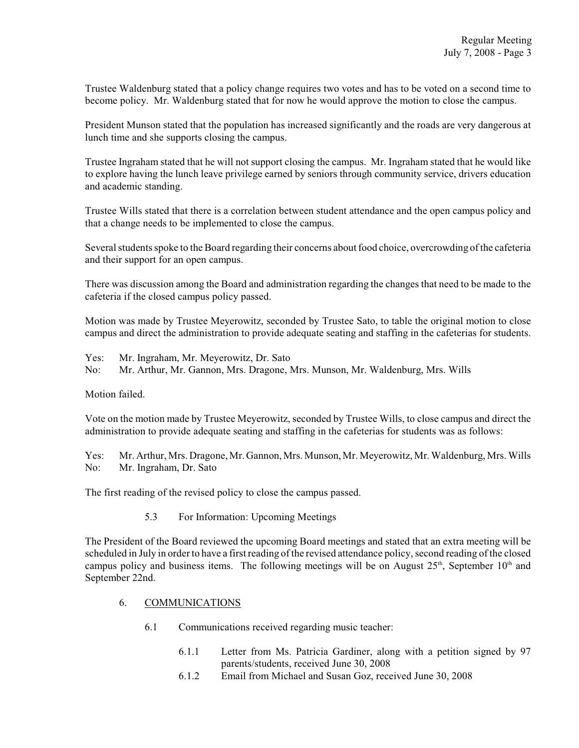Trustee Waldenburg stated that a policy change requires two votes and has to be voted on a second time to become policy. Mr. Waldenburg stated that for now he would approve the motion to close the campus.

President Munson stated that the population has increased significantly and the roads are very dangerous at lunch time and she supports closing the campus.

Trustee Ingraham stated that he will not support closing the campus. Mr. Ingraham stated that he would like to explore having the lunch leave privilege earned by seniors through community service, drivers education and academic standing.

Trustee Wills stated that there is a correlation between student attendance and the open campus policy and that a change needs to be implemented to close the campus.

Several students spoke to the Board regarding their concerns aboutfood choice, overcrowding ofthe cafeteria and their support for an open campus.

There was discussion among the Board and administration regarding the changes that need to be made to the cafeteria if the closed campus policy passed.

Motion was made by Trustee Meyerowitz, seconded by Trustee Sato, to table the original motion to close campus and direct the administration to provide adequate seating and staffing in the cafeterias for students.

Yes: Mr. Ingraham, Mr. Meyerowitz, Dr. Sato

No: Mr. Arthur, Mr. Gannon, Mrs. Dragone, Mrs. Munson, Mr. Waldenburg, Mrs. Wills

Motion failed.

Vote on the motion made by Trustee Meyerowitz, seconded by Trustee Wills, to close campus and direct the administration to provide adequate seating and staffing in the cafeterias for students was as follows:

Yes: Mr. Arthur, Mrs. Dragone, Mr. Gannon, Mrs. Munson, Mr. Meyerowitz, Mr. Waldenburg, Mrs. Wills No: Mr. Ingraham, Dr. Sato

The first reading of the revised policy to close the campus passed.

5.3 For Information: Upcoming Meetings

The President of the Board reviewed the upcoming Board meetings and stated that an extra meeting will be scheduled in July in order to have a first reading of the revised attendance policy, second reading of the closed campus policy and business items. The following meetings will be on August  $25<sup>th</sup>$ , September  $10<sup>th</sup>$  and September 22nd.

## 6. COMMUNICATIONS

- 6.1 Communications received regarding music teacher:
	- 6.1.1 Letter from Ms. Patricia Gardiner, along with a petition signed by 97 parents/students, received June 30, 2008
	- 6.1.2 Email from Michael and Susan Goz, received June 30, 2008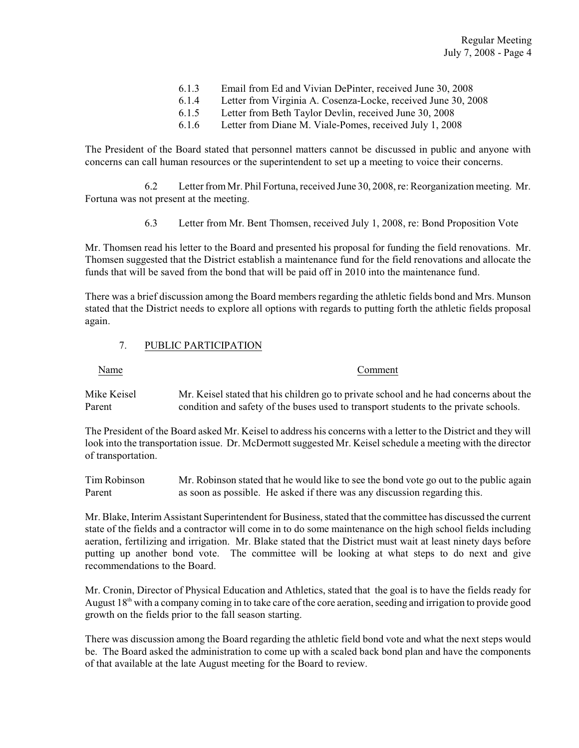| 6.1.3 | Email from Ed and Vivian DePinter, received June 30, 2008     |
|-------|---------------------------------------------------------------|
| 6.1.4 | Letter from Virginia A. Cosenza-Locke, received June 30, 2008 |

- 6.1.5 Letter from Beth Taylor Devlin, received June 30, 2008
- 6.1.6 Letter from Diane M. Viale-Pomes, received July 1, 2008

The President of the Board stated that personnel matters cannot be discussed in public and anyone with concerns can call human resources or the superintendent to set up a meeting to voice their concerns.

6.2 Letter from Mr. Phil Fortuna, received June 30, 2008, re: Reorganization meeting. Mr. Fortuna was not present at the meeting.

6.3 Letter from Mr. Bent Thomsen, received July 1, 2008, re: Bond Proposition Vote

Mr. Thomsen read his letter to the Board and presented his proposal for funding the field renovations. Mr. Thomsen suggested that the District establish a maintenance fund for the field renovations and allocate the funds that will be saved from the bond that will be paid off in 2010 into the maintenance fund.

There was a brief discussion among the Board members regarding the athletic fields bond and Mrs. Munson stated that the District needs to explore all options with regards to putting forth the athletic fields proposal again.

## 7. PUBLIC PARTICIPATION

Name Comment

Mike Keisel Mr. Keisel stated that his children go to private school and he had concerns about the Parent condition and safety of the buses used to transport students to the private schools.

The President of the Board asked Mr. Keisel to address his concerns with a letter to the District and they will look into the transportation issue. Dr. McDermott suggested Mr. Keisel schedule a meeting with the director of transportation.

Tim Robinson Mr. Robinson stated that he would like to see the bond vote go out to the public again Parent as soon as possible. He asked if there was any discussion regarding this.

Mr. Blake, Interim Assistant Superintendent for Business, stated that the committee has discussed the current state of the fields and a contractor will come in to do some maintenance on the high school fields including aeration, fertilizing and irrigation. Mr. Blake stated that the District must wait at least ninety days before putting up another bond vote. The committee will be looking at what steps to do next and give recommendations to the Board.

Mr. Cronin, Director of Physical Education and Athletics, stated that the goal is to have the fields ready for August  $18<sup>th</sup>$  with a company coming in to take care of the core aeration, seeding and irrigation to provide good growth on the fields prior to the fall season starting.

There was discussion among the Board regarding the athletic field bond vote and what the next steps would be. The Board asked the administration to come up with a scaled back bond plan and have the components of that available at the late August meeting for the Board to review.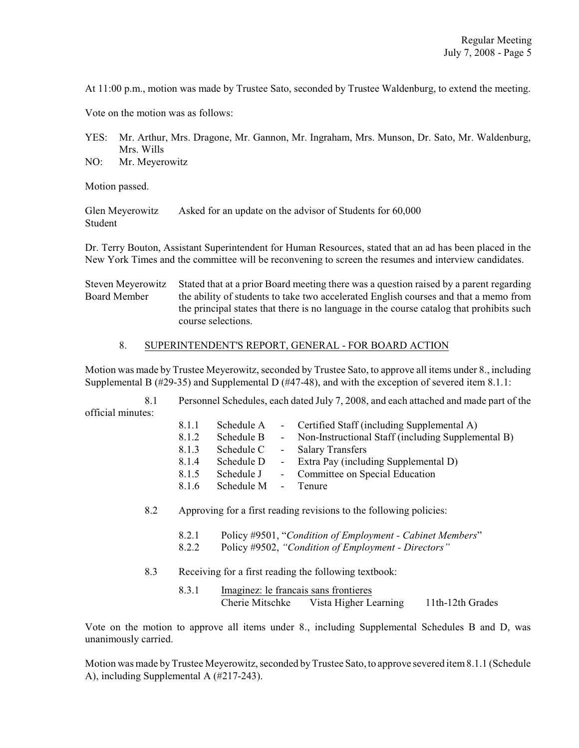At 11:00 p.m., motion was made by Trustee Sato, seconded by Trustee Waldenburg, to extend the meeting.

Vote on the motion was as follows:

YES: Mr. Arthur, Mrs. Dragone, Mr. Gannon, Mr. Ingraham, Mrs. Munson, Dr. Sato, Mr. Waldenburg, Mrs. Wills

NO: Mr. Meyerowitz

Motion passed.

Glen Meyerowitz Asked for an update on the advisor of Students for 60,000 Student

Dr. Terry Bouton, Assistant Superintendent for Human Resources, stated that an ad has been placed in the New York Times and the committee will be reconvening to screen the resumes and interview candidates.

Steven Meyerowitz Stated that at a prior Board meeting there was a question raised by a parent regarding Board Member the ability of students to take two accelerated English courses and that a memo from the principal states that there is no language in the course catalog that prohibits such course selections.

# 8. SUPERINTENDENT'S REPORT, GENERAL - FOR BOARD ACTION

Motion was made by Trustee Meyerowitz, seconded by Trustee Sato, to approve all items under 8., including Supplemental B (#29-35) and Supplemental D (#47-48), and with the exception of severed item 8.1.1:

8.1 Personnel Schedules, each dated July 7, 2008, and each attached and made part of the official minutes:

| 8.1.1 | Schedule A | $\sim 100$          | Certified Staff (including Supplemental A)         |
|-------|------------|---------------------|----------------------------------------------------|
| 8.1.2 | Schedule B | $\omega_{\rm{max}}$ | Non-Instructional Staff (including Supplemental B) |
| 8.1.3 | Schedule C |                     | - Salary Transfers                                 |
| 8.1.4 | Schedule D |                     | - Extra Pay (including Supplemental D)             |
| 8.1.5 | Schedule J |                     | - Committee on Special Education                   |
| 8.1.6 | Schedule M |                     | - Tenure                                           |
|       |            |                     |                                                    |

8.2 Approving for a first reading revisions to the following policies:

- 8.2.1 Policy #9501, "*Condition of Employment Cabinet Members*"
- 8.2.2 Policy #9502, *"Condition of Employment Directors"*
- 8.3 Receiving for a first reading the following textbook:
	- 8.3.1 Imaginez: le francais sans frontieres Cherie Mitschke Vista Higher Learning 11th-12th Grades

Vote on the motion to approve all items under 8., including Supplemental Schedules B and D, was unanimously carried.

Motion was made by Trustee Meyerowitz, seconded byTrustee Sato, to approve severed item8.1.1 (Schedule A), including Supplemental A (#217-243).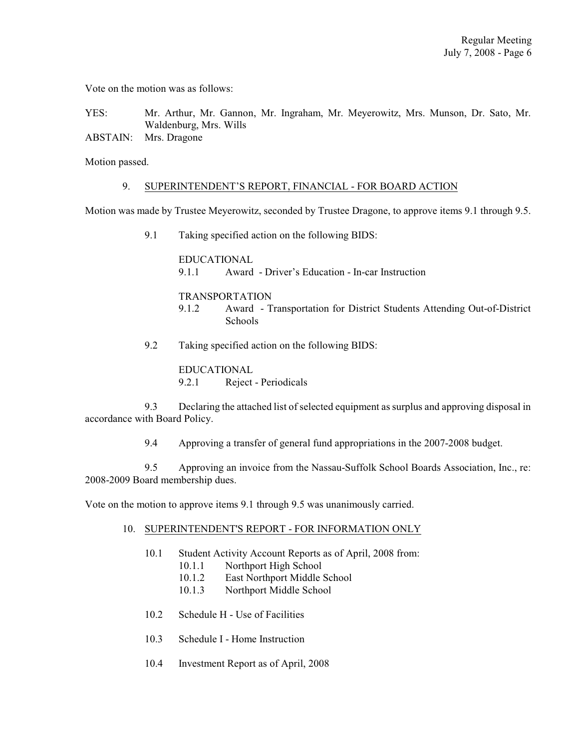Vote on the motion was as follows:

YES: Mr. Arthur, Mr. Gannon, Mr. Ingraham, Mr. Meyerowitz, Mrs. Munson, Dr. Sato, Mr. Waldenburg, Mrs. Wills

ABSTAIN: Mrs. Dragone

Motion passed.

#### 9. SUPERINTENDENT'S REPORT, FINANCIAL - FOR BOARD ACTION

Motion was made by Trustee Meyerowitz, seconded by Trustee Dragone, to approve items 9.1 through 9.5.

9.1 Taking specified action on the following BIDS:

EDUCATIONAL 9.1.1 Award - Driver's Education - In-car Instruction

## TRANSPORTATION

- 9.1.2 Award Transportation for District Students Attending Out-of-District Schools
- 9.2 Taking specified action on the following BIDS:

EDUCATIONAL 9.2.1 Reject - Periodicals

9.3 Declaring the attached list ofselected equipment assurplus and approving disposal in accordance with Board Policy.

9.4 Approving a transfer of general fund appropriations in the 2007-2008 budget.

9.5 Approving an invoice from the Nassau-Suffolk School Boards Association, Inc., re: 2008-2009 Board membership dues.

Vote on the motion to approve items 9.1 through 9.5 was unanimously carried.

- 10. SUPERINTENDENT'S REPORT FOR INFORMATION ONLY
	- 10.1 Student Activity Account Reports as of April, 2008 from:
		- 10.1.1 Northport High School
		- 10.1.2 East Northport Middle School
		- 10.1.3 Northport Middle School
	- 10.2 Schedule H Use of Facilities
	- 10.3 Schedule I Home Instruction
	- 10.4 Investment Report as of April, 2008